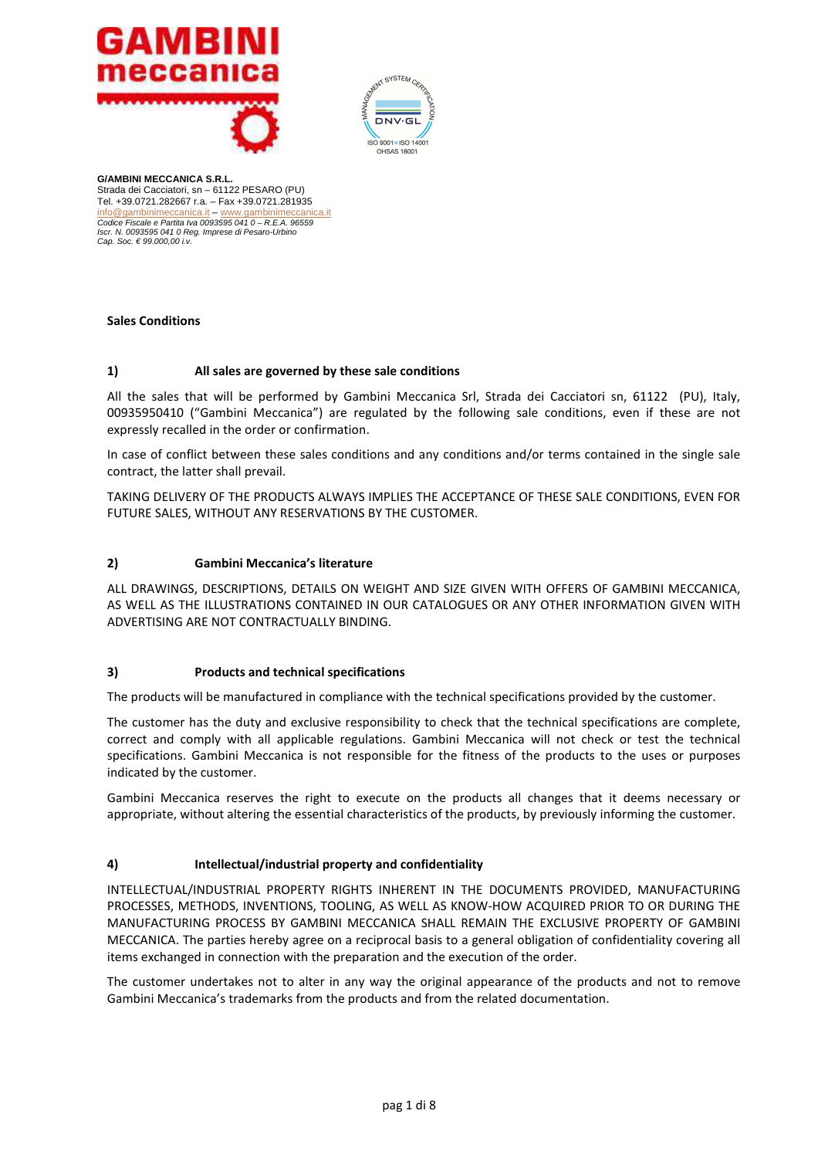



### **Sales Conditions**

#### **1) All sales are governed by these sale conditions**

All the sales that will be performed by Gambini Meccanica Srl, Strada dei Cacciatori sn, 61122 (PU), Italy, 00935950410 ("Gambini Meccanica") are regulated by the following sale conditions, even if these are not expressly recalled in the order or confirmation.

In case of conflict between these sales conditions and any conditions and/or terms contained in the single sale contract, the latter shall prevail.

TAKING DELIVERY OF THE PRODUCTS ALWAYS IMPLIES THE ACCEPTANCE OF THESE SALE CONDITIONS, EVEN FOR FUTURE SALES, WITHOUT ANY RESERVATIONS BY THE CUSTOMER.

### **2) Gambini Meccanica's literature**

ALL DRAWINGS, DESCRIPTIONS, DETAILS ON WEIGHT AND SIZE GIVEN WITH OFFERS OF GAMBINI MECCANICA, AS WELL AS THE ILLUSTRATIONS CONTAINED IN OUR CATALOGUES OR ANY OTHER INFORMATION GIVEN WITH ADVERTISING ARE NOT CONTRACTUALLY BINDING.

### **3) Products and technical specifications**

The products will be manufactured in compliance with the technical specifications provided by the customer.

The customer has the duty and exclusive responsibility to check that the technical specifications are complete, correct and comply with all applicable regulations. Gambini Meccanica will not check or test the technical specifications. Gambini Meccanica is not responsible for the fitness of the products to the uses or purposes indicated by the customer.

Gambini Meccanica reserves the right to execute on the products all changes that it deems necessary or appropriate, without altering the essential characteristics of the products, by previously informing the customer.

#### **4) Intellectual/industrial property and confidentiality**

INTELLECTUAL/INDUSTRIAL PROPERTY RIGHTS INHERENT IN THE DOCUMENTS PROVIDED, MANUFACTURING PROCESSES, METHODS, INVENTIONS, TOOLING, AS WELL AS KNOW-HOW ACQUIRED PRIOR TO OR DURING THE MANUFACTURING PROCESS BY GAMBINI MECCANICA SHALL REMAIN THE EXCLUSIVE PROPERTY OF GAMBINI MECCANICA. The parties hereby agree on a reciprocal basis to a general obligation of confidentiality covering all items exchanged in connection with the preparation and the execution of the order.

The customer undertakes not to alter in any way the original appearance of the products and not to remove Gambini Meccanica's trademarks from the products and from the related documentation.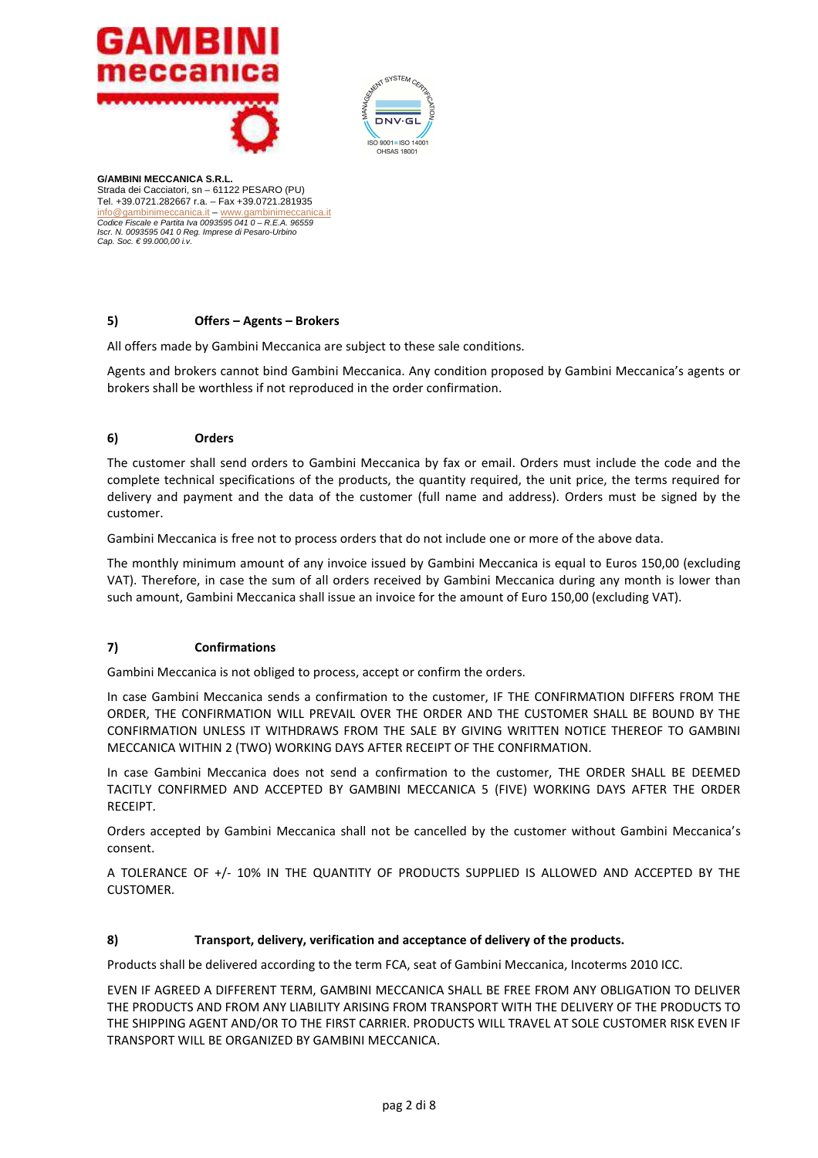



# **5) Offers – Agents – Brokers**

All offers made by Gambini Meccanica are subject to these sale conditions.

Agents and brokers cannot bind Gambini Meccanica. Any condition proposed by Gambini Meccanica's agents or brokers shall be worthless if not reproduced in the order confirmation.

# **6) Orders**

The customer shall send orders to Gambini Meccanica by fax or email. Orders must include the code and the complete technical specifications of the products, the quantity required, the unit price, the terms required for delivery and payment and the data of the customer (full name and address). Orders must be signed by the customer.

Gambini Meccanica is free not to process orders that do not include one or more of the above data.

The monthly minimum amount of any invoice issued by Gambini Meccanica is equal to Euros 150,00 (excluding VAT). Therefore, in case the sum of all orders received by Gambini Meccanica during any month is lower than such amount, Gambini Meccanica shall issue an invoice for the amount of Euro 150,00 (excluding VAT).

# **7) Confirmations**

Gambini Meccanica is not obliged to process, accept or confirm the orders.

In case Gambini Meccanica sends a confirmation to the customer, IF THE CONFIRMATION DIFFERS FROM THE ORDER, THE CONFIRMATION WILL PREVAIL OVER THE ORDER AND THE CUSTOMER SHALL BE BOUND BY THE CONFIRMATION UNLESS IT WITHDRAWS FROM THE SALE BY GIVING WRITTEN NOTICE THEREOF TO GAMBINI MECCANICA WITHIN 2 (TWO) WORKING DAYS AFTER RECEIPT OF THE CONFIRMATION.

In case Gambini Meccanica does not send a confirmation to the customer, THE ORDER SHALL BE DEEMED TACITLY CONFIRMED AND ACCEPTED BY GAMBINI MECCANICA 5 (FIVE) WORKING DAYS AFTER THE ORDER RECEIPT.

Orders accepted by Gambini Meccanica shall not be cancelled by the customer without Gambini Meccanica's consent.

A TOLERANCE OF +/- 10% IN THE QUANTITY OF PRODUCTS SUPPLIED IS ALLOWED AND ACCEPTED BY THE CUSTOMER.

### **8) Transport, delivery, verification and acceptance of delivery of the products.**

Products shall be delivered according to the term FCA, seat of Gambini Meccanica, Incoterms 2010 ICC.

EVEN IF AGREED A DIFFERENT TERM, GAMBINI MECCANICA SHALL BE FREE FROM ANY OBLIGATION TO DELIVER THE PRODUCTS AND FROM ANY LIABILITY ARISING FROM TRANSPORT WITH THE DELIVERY OF THE PRODUCTS TO THE SHIPPING AGENT AND/OR TO THE FIRST CARRIER. PRODUCTS WILL TRAVEL AT SOLE CUSTOMER RISK EVEN IF TRANSPORT WILL BE ORGANIZED BY GAMBINI MECCANICA.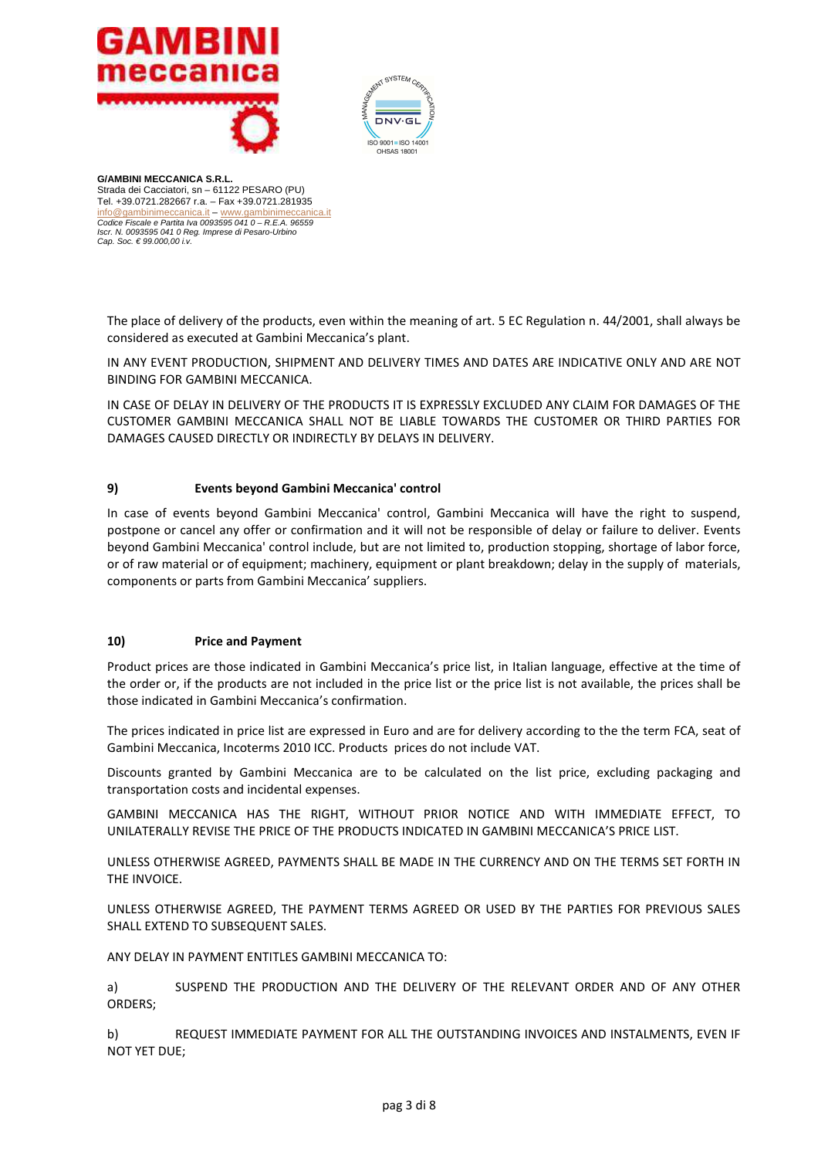



The place of delivery of the products, even within the meaning of art. 5 EC Regulation n. 44/2001, shall always be considered as executed at Gambini Meccanica's plant.

IN ANY EVENT PRODUCTION, SHIPMENT AND DELIVERY TIMES AND DATES ARE INDICATIVE ONLY AND ARE NOT BINDING FOR GAMBINI MECCANICA.

IN CASE OF DELAY IN DELIVERY OF THE PRODUCTS IT IS EXPRESSLY EXCLUDED ANY CLAIM FOR DAMAGES OF THE CUSTOMER GAMBINI MECCANICA SHALL NOT BE LIABLE TOWARDS THE CUSTOMER OR THIRD PARTIES FOR DAMAGES CAUSED DIRECTLY OR INDIRECTLY BY DELAYS IN DELIVERY.

### **9) Events beyond Gambini Meccanica' control**

In case of events beyond Gambini Meccanica' control, Gambini Meccanica will have the right to suspend, postpone or cancel any offer or confirmation and it will not be responsible of delay or failure to deliver. Events beyond Gambini Meccanica' control include, but are not limited to, production stopping, shortage of labor force, or of raw material or of equipment; machinery, equipment or plant breakdown; delay in the supply of materials, components or parts from Gambini Meccanica' suppliers.

### **10) Price and Payment**

Product prices are those indicated in Gambini Meccanica's price list, in Italian language, effective at the time of the order or, if the products are not included in the price list or the price list is not available, the prices shall be those indicated in Gambini Meccanica's confirmation.

The prices indicated in price list are expressed in Euro and are for delivery according to the the term FCA, seat of Gambini Meccanica, Incoterms 2010 ICC. Products prices do not include VAT.

Discounts granted by Gambini Meccanica are to be calculated on the list price, excluding packaging and transportation costs and incidental expenses.

GAMBINI MECCANICA HAS THE RIGHT, WITHOUT PRIOR NOTICE AND WITH IMMEDIATE EFFECT, TO UNILATERALLY REVISE THE PRICE OF THE PRODUCTS INDICATED IN GAMBINI MECCANICA'S PRICE LIST.

UNLESS OTHERWISE AGREED, PAYMENTS SHALL BE MADE IN THE CURRENCY AND ON THE TERMS SET FORTH IN THE INVOICE.

UNLESS OTHERWISE AGREED, THE PAYMENT TERMS AGREED OR USED BY THE PARTIES FOR PREVIOUS SALES SHALL EXTEND TO SUBSEQUENT SALES.

ANY DELAY IN PAYMENT ENTITLES GAMBINI MECCANICA TO:

a) SUSPEND THE PRODUCTION AND THE DELIVERY OF THE RELEVANT ORDER AND OF ANY OTHER ORDERS;

b) REQUEST IMMEDIATE PAYMENT FOR ALL THE OUTSTANDING INVOICES AND INSTALMENTS, EVEN IF NOT YET DUE;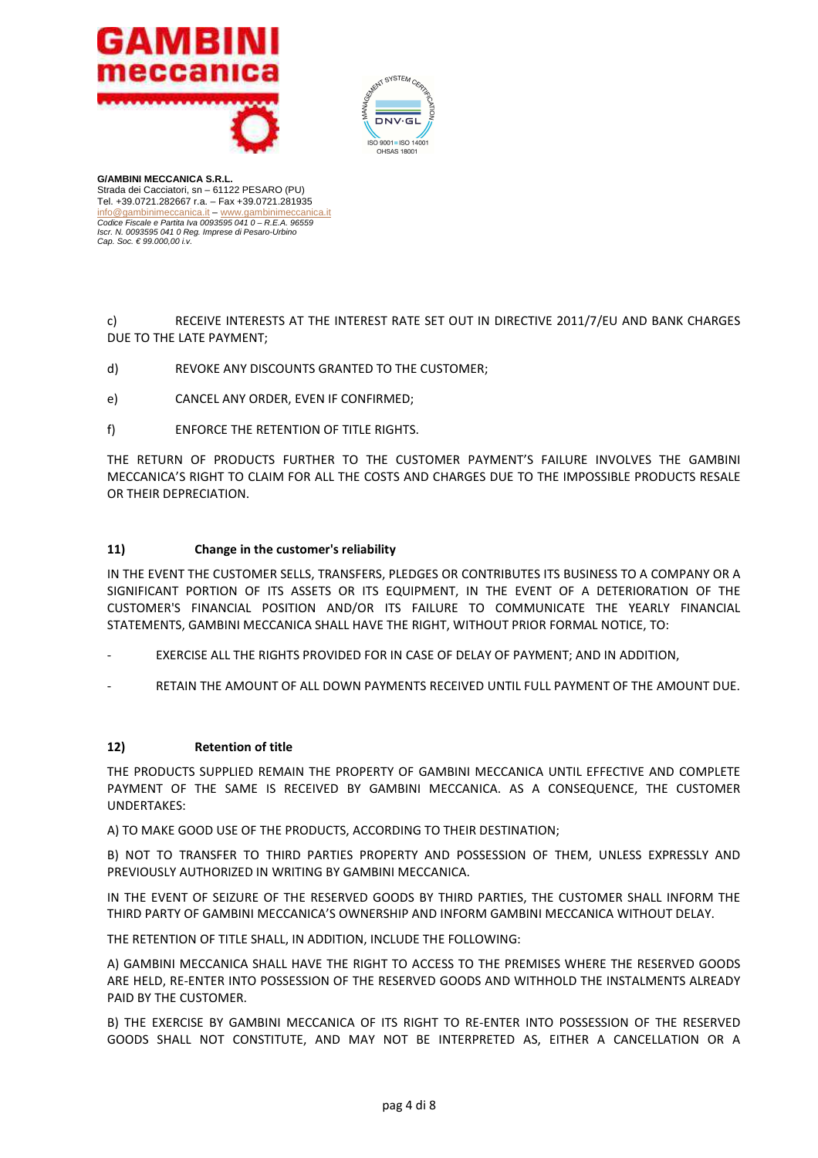



c) RECEIVE INTERESTS AT THE INTEREST RATE SET OUT IN DIRECTIVE 2011/7/EU AND BANK CHARGES DUE TO THE LATE PAYMENT;

- d) REVOKE ANY DISCOUNTS GRANTED TO THE CUSTOMER;
- e) CANCEL ANY ORDER, EVEN IF CONFIRMED;
- f) ENFORCE THE RETENTION OF TITLE RIGHTS.

THE RETURN OF PRODUCTS FURTHER TO THE CUSTOMER PAYMENT'S FAILURE INVOLVES THE GAMBINI MECCANICA'S RIGHT TO CLAIM FOR ALL THE COSTS AND CHARGES DUE TO THE IMPOSSIBLE PRODUCTS RESALE OR THEIR DEPRECIATION.

### **11) Change in the customer's reliability**

IN THE EVENT THE CUSTOMER SELLS, TRANSFERS, PLEDGES OR CONTRIBUTES ITS BUSINESS TO A COMPANY OR A SIGNIFICANT PORTION OF ITS ASSETS OR ITS EQUIPMENT, IN THE EVENT OF A DETERIORATION OF THE CUSTOMER'S FINANCIAL POSITION AND/OR ITS FAILURE TO COMMUNICATE THE YEARLY FINANCIAL STATEMENTS, GAMBINI MECCANICA SHALL HAVE THE RIGHT, WITHOUT PRIOR FORMAL NOTICE, TO:

- EXERCISE ALL THE RIGHTS PROVIDED FOR IN CASE OF DELAY OF PAYMENT; AND IN ADDITION,
- RETAIN THE AMOUNT OF ALL DOWN PAYMENTS RECEIVED UNTIL FULL PAYMENT OF THE AMOUNT DUE.

### **12) Retention of title**

THE PRODUCTS SUPPLIED REMAIN THE PROPERTY OF GAMBINI MECCANICA UNTIL EFFECTIVE AND COMPLETE PAYMENT OF THE SAME IS RECEIVED BY GAMBINI MECCANICA. AS A CONSEQUENCE, THE CUSTOMER UNDERTAKES:

A) TO MAKE GOOD USE OF THE PRODUCTS, ACCORDING TO THEIR DESTINATION;

B) NOT TO TRANSFER TO THIRD PARTIES PROPERTY AND POSSESSION OF THEM, UNLESS EXPRESSLY AND PREVIOUSLY AUTHORIZED IN WRITING BY GAMBINI MECCANICA.

IN THE EVENT OF SEIZURE OF THE RESERVED GOODS BY THIRD PARTIES, THE CUSTOMER SHALL INFORM THE THIRD PARTY OF GAMBINI MECCANICA'S OWNERSHIP AND INFORM GAMBINI MECCANICA WITHOUT DELAY.

THE RETENTION OF TITLE SHALL, IN ADDITION, INCLUDE THE FOLLOWING:

A) GAMBINI MECCANICA SHALL HAVE THE RIGHT TO ACCESS TO THE PREMISES WHERE THE RESERVED GOODS ARE HELD, RE-ENTER INTO POSSESSION OF THE RESERVED GOODS AND WITHHOLD THE INSTALMENTS ALREADY PAID BY THE CUSTOMER.

B) THE EXERCISE BY GAMBINI MECCANICA OF ITS RIGHT TO RE-ENTER INTO POSSESSION OF THE RESERVED GOODS SHALL NOT CONSTITUTE, AND MAY NOT BE INTERPRETED AS, EITHER A CANCELLATION OR A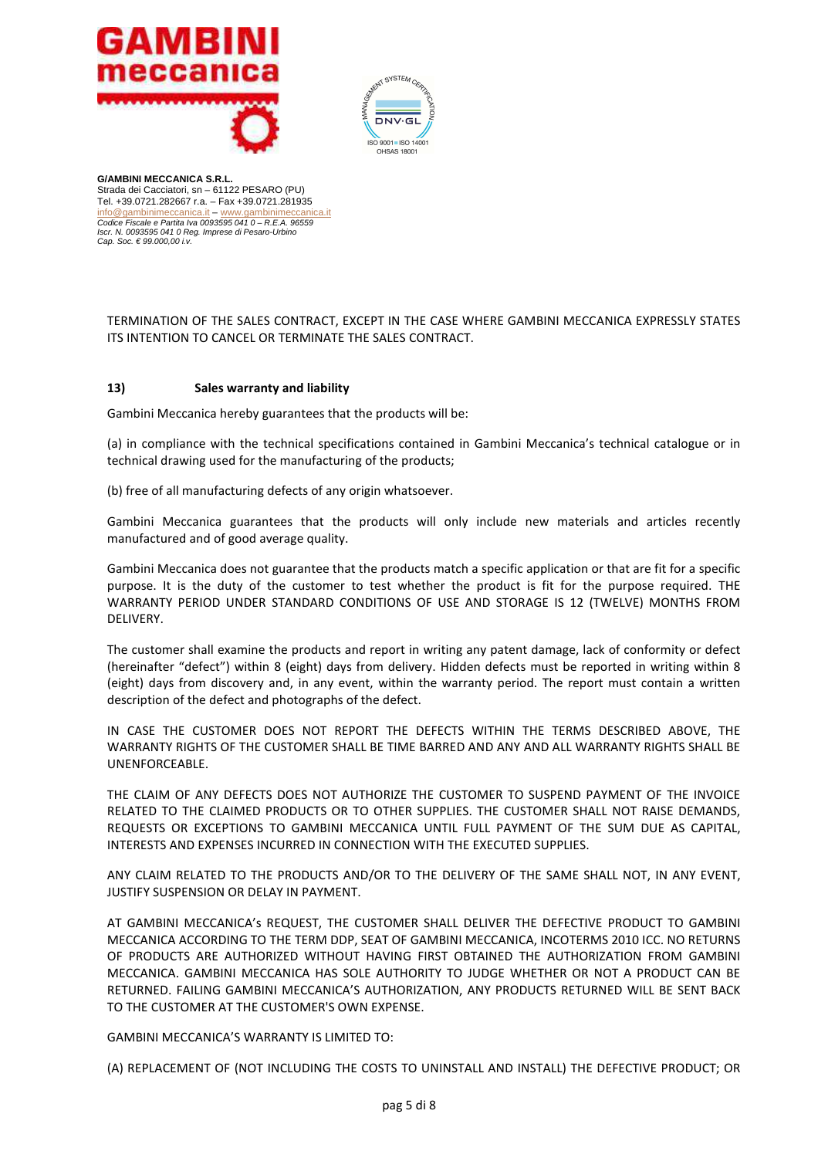



TERMINATION OF THE SALES CONTRACT, EXCEPT IN THE CASE WHERE GAMBINI MECCANICA EXPRESSLY STATES ITS INTENTION TO CANCEL OR TERMINATE THE SALES CONTRACT.

### **13) Sales warranty and liability**

Gambini Meccanica hereby guarantees that the products will be:

(a) in compliance with the technical specifications contained in Gambini Meccanica's technical catalogue or in technical drawing used for the manufacturing of the products;

(b) free of all manufacturing defects of any origin whatsoever.

Gambini Meccanica guarantees that the products will only include new materials and articles recently manufactured and of good average quality.

Gambini Meccanica does not guarantee that the products match a specific application or that are fit for a specific purpose. It is the duty of the customer to test whether the product is fit for the purpose required. THE WARRANTY PERIOD UNDER STANDARD CONDITIONS OF USE AND STORAGE IS 12 (TWELVE) MONTHS FROM DELIVERY.

The customer shall examine the products and report in writing any patent damage, lack of conformity or defect (hereinafter "defect") within 8 (eight) days from delivery. Hidden defects must be reported in writing within 8 (eight) days from discovery and, in any event, within the warranty period. The report must contain a written description of the defect and photographs of the defect.

IN CASE THE CUSTOMER DOES NOT REPORT THE DEFECTS WITHIN THE TERMS DESCRIBED ABOVE, THE WARRANTY RIGHTS OF THE CUSTOMER SHALL BE TIME BARRED AND ANY AND ALL WARRANTY RIGHTS SHALL BE UNENFORCEABLE.

THE CLAIM OF ANY DEFECTS DOES NOT AUTHORIZE THE CUSTOMER TO SUSPEND PAYMENT OF THE INVOICE RELATED TO THE CLAIMED PRODUCTS OR TO OTHER SUPPLIES. THE CUSTOMER SHALL NOT RAISE DEMANDS, REQUESTS OR EXCEPTIONS TO GAMBINI MECCANICA UNTIL FULL PAYMENT OF THE SUM DUE AS CAPITAL, INTERESTS AND EXPENSES INCURRED IN CONNECTION WITH THE EXECUTED SUPPLIES.

ANY CLAIM RELATED TO THE PRODUCTS AND/OR TO THE DELIVERY OF THE SAME SHALL NOT, IN ANY EVENT, JUSTIFY SUSPENSION OR DELAY IN PAYMENT.

AT GAMBINI MECCANICA's REQUEST, THE CUSTOMER SHALL DELIVER THE DEFECTIVE PRODUCT TO GAMBINI MECCANICA ACCORDING TO THE TERM DDP, SEAT OF GAMBINI MECCANICA, INCOTERMS 2010 ICC. NO RETURNS OF PRODUCTS ARE AUTHORIZED WITHOUT HAVING FIRST OBTAINED THE AUTHORIZATION FROM GAMBINI MECCANICA. GAMBINI MECCANICA HAS SOLE AUTHORITY TO JUDGE WHETHER OR NOT A PRODUCT CAN BE RETURNED. FAILING GAMBINI MECCANICA'S AUTHORIZATION, ANY PRODUCTS RETURNED WILL BE SENT BACK TO THE CUSTOMER AT THE CUSTOMER'S OWN EXPENSE.

GAMBINI MECCANICA'S WARRANTY IS LIMITED TO:

(A) REPLACEMENT OF (NOT INCLUDING THE COSTS TO UNINSTALL AND INSTALL) THE DEFECTIVE PRODUCT; OR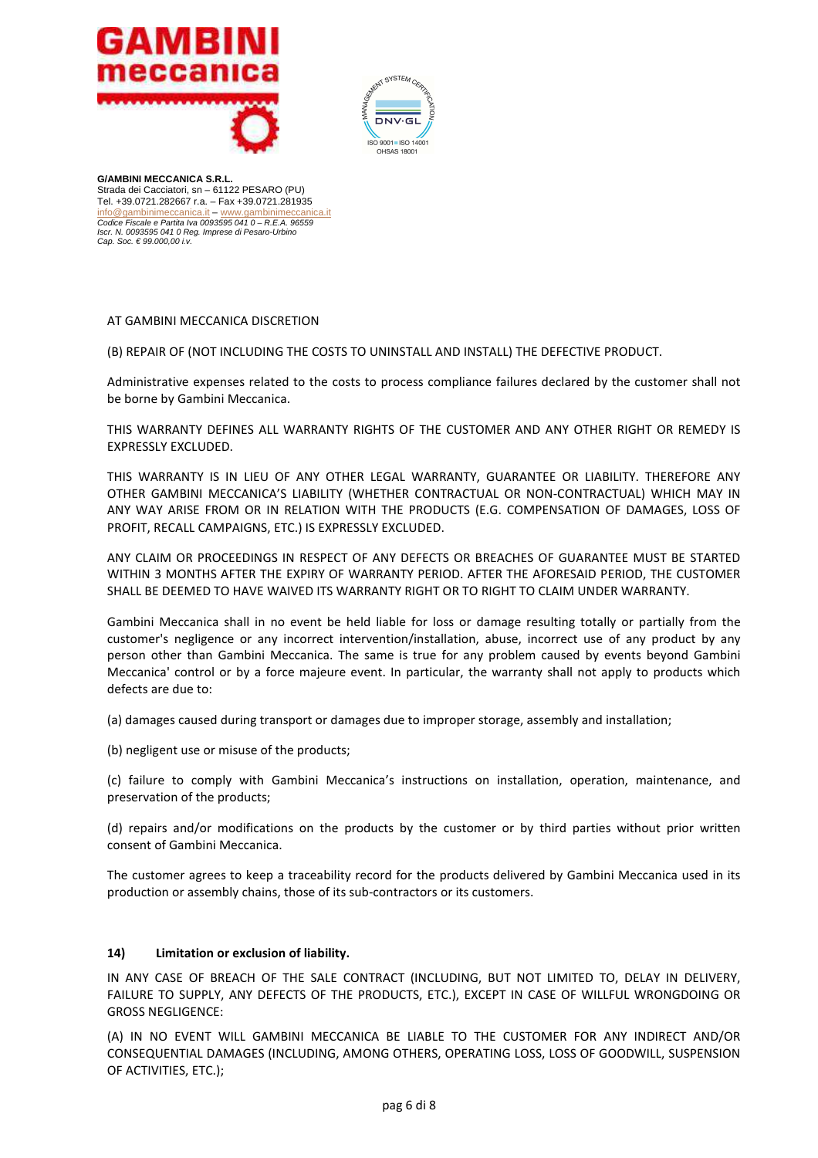



### AT GAMBINI MECCANICA DISCRETION

(B) REPAIR OF (NOT INCLUDING THE COSTS TO UNINSTALL AND INSTALL) THE DEFECTIVE PRODUCT.

Administrative expenses related to the costs to process compliance failures declared by the customer shall not be borne by Gambini Meccanica.

THIS WARRANTY DEFINES ALL WARRANTY RIGHTS OF THE CUSTOMER AND ANY OTHER RIGHT OR REMEDY IS EXPRESSLY EXCLUDED.

THIS WARRANTY IS IN LIEU OF ANY OTHER LEGAL WARRANTY, GUARANTEE OR LIABILITY. THEREFORE ANY OTHER GAMBINI MECCANICA'S LIABILITY (WHETHER CONTRACTUAL OR NON-CONTRACTUAL) WHICH MAY IN ANY WAY ARISE FROM OR IN RELATION WITH THE PRODUCTS (E.G. COMPENSATION OF DAMAGES, LOSS OF PROFIT, RECALL CAMPAIGNS, ETC.) IS EXPRESSLY EXCLUDED.

ANY CLAIM OR PROCEEDINGS IN RESPECT OF ANY DEFECTS OR BREACHES OF GUARANTEE MUST BE STARTED WITHIN 3 MONTHS AFTER THE EXPIRY OF WARRANTY PERIOD. AFTER THE AFORESAID PERIOD, THE CUSTOMER SHALL BE DEEMED TO HAVE WAIVED ITS WARRANTY RIGHT OR TO RIGHT TO CLAIM UNDER WARRANTY.

Gambini Meccanica shall in no event be held liable for loss or damage resulting totally or partially from the customer's negligence or any incorrect intervention/installation, abuse, incorrect use of any product by any person other than Gambini Meccanica. The same is true for any problem caused by events beyond Gambini Meccanica' control or by a force majeure event. In particular, the warranty shall not apply to products which defects are due to:

(a) damages caused during transport or damages due to improper storage, assembly and installation;

(b) negligent use or misuse of the products;

(c) failure to comply with Gambini Meccanica's instructions on installation, operation, maintenance, and preservation of the products;

(d) repairs and/or modifications on the products by the customer or by third parties without prior written consent of Gambini Meccanica.

The customer agrees to keep a traceability record for the products delivered by Gambini Meccanica used in its production or assembly chains, those of its sub-contractors or its customers.

### **14) Limitation or exclusion of liability.**

IN ANY CASE OF BREACH OF THE SALE CONTRACT (INCLUDING, BUT NOT LIMITED TO, DELAY IN DELIVERY, FAILURE TO SUPPLY, ANY DEFECTS OF THE PRODUCTS, ETC.), EXCEPT IN CASE OF WILLFUL WRONGDOING OR GROSS NEGLIGENCE:

(A) IN NO EVENT WILL GAMBINI MECCANICA BE LIABLE TO THE CUSTOMER FOR ANY INDIRECT AND/OR CONSEQUENTIAL DAMAGES (INCLUDING, AMONG OTHERS, OPERATING LOSS, LOSS OF GOODWILL, SUSPENSION OF ACTIVITIES, ETC.);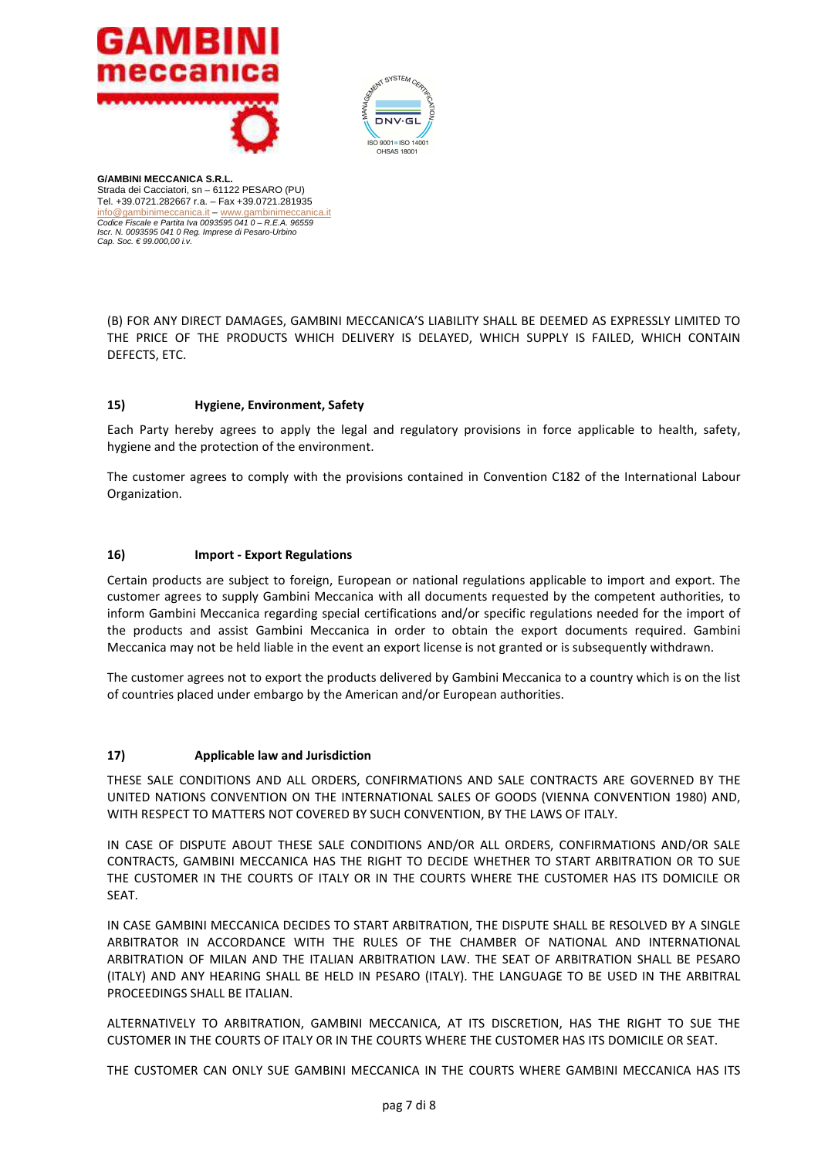



(B) FOR ANY DIRECT DAMAGES, GAMBINI MECCANICA'S LIABILITY SHALL BE DEEMED AS EXPRESSLY LIMITED TO THE PRICE OF THE PRODUCTS WHICH DELIVERY IS DELAYED, WHICH SUPPLY IS FAILED, WHICH CONTAIN DEFECTS, ETC.

# **15) Hygiene, Environment, Safety**

Each Party hereby agrees to apply the legal and regulatory provisions in force applicable to health, safety, hygiene and the protection of the environment.

The customer agrees to comply with the provisions contained in Convention C182 of the International Labour Organization.

#### **16) Import - Export Regulations**

Certain products are subject to foreign, European or national regulations applicable to import and export. The customer agrees to supply Gambini Meccanica with all documents requested by the competent authorities, to inform Gambini Meccanica regarding special certifications and/or specific regulations needed for the import of the products and assist Gambini Meccanica in order to obtain the export documents required. Gambini Meccanica may not be held liable in the event an export license is not granted or is subsequently withdrawn.

The customer agrees not to export the products delivered by Gambini Meccanica to a country which is on the list of countries placed under embargo by the American and/or European authorities.

### **17) Applicable law and Jurisdiction**

THESE SALE CONDITIONS AND ALL ORDERS, CONFIRMATIONS AND SALE CONTRACTS ARE GOVERNED BY THE UNITED NATIONS CONVENTION ON THE INTERNATIONAL SALES OF GOODS (VIENNA CONVENTION 1980) AND, WITH RESPECT TO MATTERS NOT COVERED BY SUCH CONVENTION, BY THE LAWS OF ITALY.

IN CASE OF DISPUTE ABOUT THESE SALE CONDITIONS AND/OR ALL ORDERS, CONFIRMATIONS AND/OR SALE CONTRACTS, GAMBINI MECCANICA HAS THE RIGHT TO DECIDE WHETHER TO START ARBITRATION OR TO SUE THE CUSTOMER IN THE COURTS OF ITALY OR IN THE COURTS WHERE THE CUSTOMER HAS ITS DOMICILE OR SEAT.

IN CASE GAMBINI MECCANICA DECIDES TO START ARBITRATION, THE DISPUTE SHALL BE RESOLVED BY A SINGLE ARBITRATOR IN ACCORDANCE WITH THE RULES OF THE CHAMBER OF NATIONAL AND INTERNATIONAL ARBITRATION OF MILAN AND THE ITALIAN ARBITRATION LAW. THE SEAT OF ARBITRATION SHALL BE PESARO (ITALY) AND ANY HEARING SHALL BE HELD IN PESARO (ITALY). THE LANGUAGE TO BE USED IN THE ARBITRAL PROCEEDINGS SHALL BE ITALIAN.

ALTERNATIVELY TO ARBITRATION, GAMBINI MECCANICA, AT ITS DISCRETION, HAS THE RIGHT TO SUE THE CUSTOMER IN THE COURTS OF ITALY OR IN THE COURTS WHERE THE CUSTOMER HAS ITS DOMICILE OR SEAT.

THE CUSTOMER CAN ONLY SUE GAMBINI MECCANICA IN THE COURTS WHERE GAMBINI MECCANICA HAS ITS